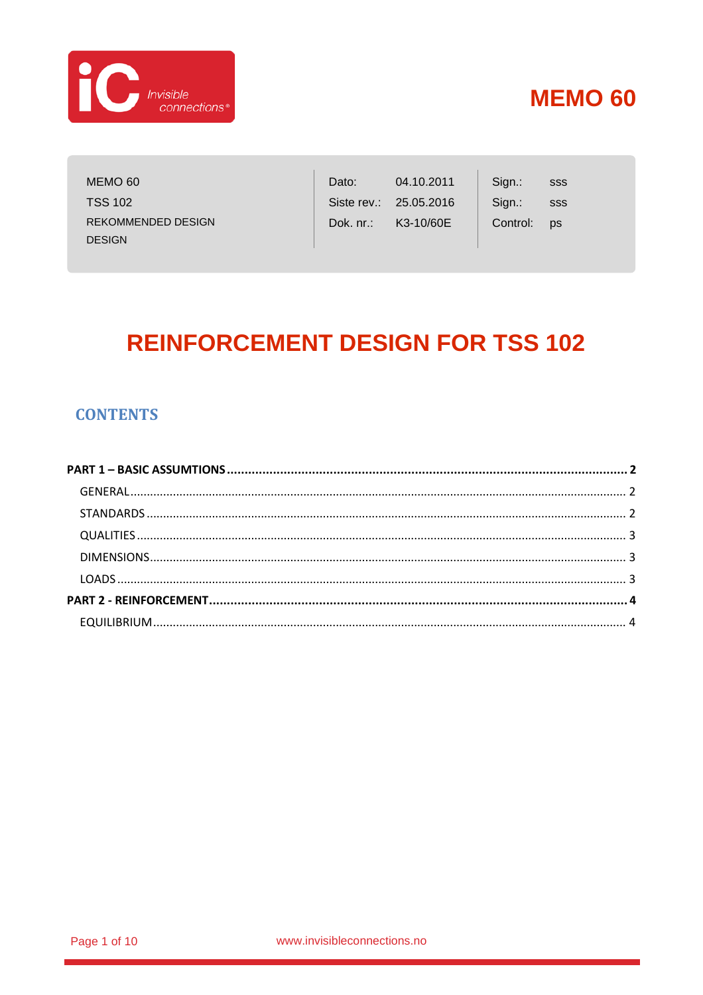

MEMO 60 **TSS 102 REKOMMENDED DESIGN DESIGN** 

| Dato:        | 04.10.2011 | Sign.:   |
|--------------|------------|----------|
| Siste rev.:  | 25.05.2016 | Sign.:   |
| Dok. $nr$ .: | K3-10/60E  | Control: |

SSS SSS ps

# **REINFORCEMENT DESIGN FOR TSS 102**

### **CONTENTS**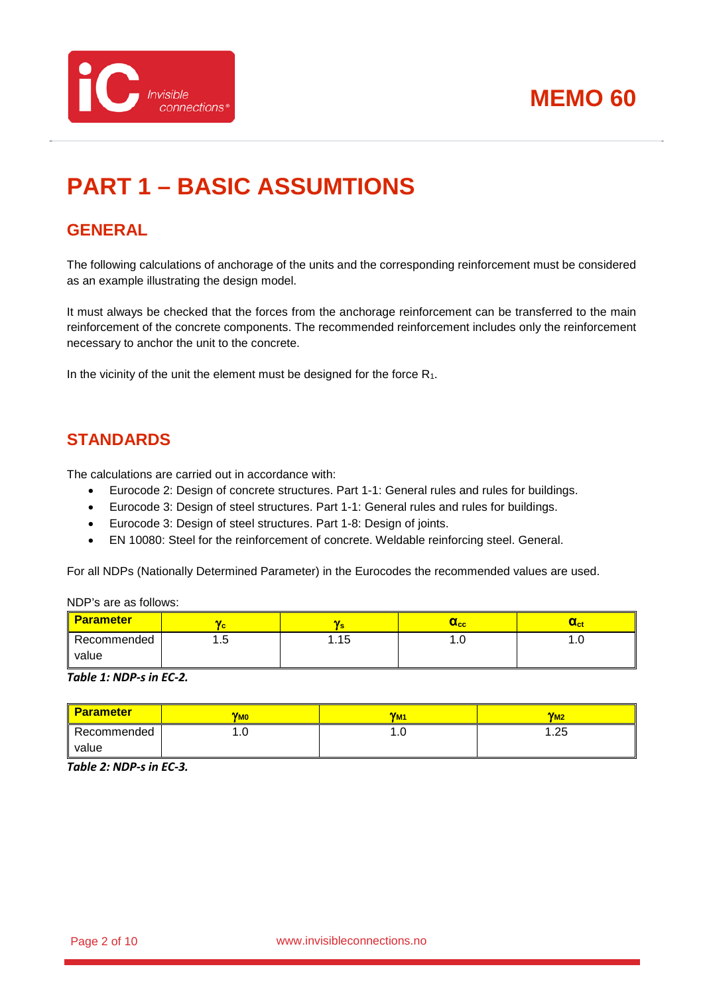

# <span id="page-1-0"></span>**PART 1 – BASIC ASSUMTIONS**

## <span id="page-1-1"></span>**GENERAL**

The following calculations of anchorage of the units and the corresponding reinforcement must be considered as an example illustrating the design model.

It must always be checked that the forces from the anchorage reinforcement can be transferred to the main reinforcement of the concrete components. The recommended reinforcement includes only the reinforcement necessary to anchor the unit to the concrete.

In the vicinity of the unit the element must be designed for the force  $R_1$ .

## <span id="page-1-2"></span>**STANDARDS**

The calculations are carried out in accordance with:

- Eurocode 2: Design of concrete structures. Part 1-1: General rules and rules for buildings.
- Eurocode 3: Design of steel structures. Part 1-1: General rules and rules for buildings.
- Eurocode 3: Design of steel structures. Part 1-8: Design of joints.
- EN 10080: Steel for the reinforcement of concrete. Weldable reinforcing steel. General.

For all NDPs (Nationally Determined Parameter) in the Eurocodes the recommended values are used.

NDP's are as follows:

| <b>Parameter</b>     | n F<br>Yс |      | $\mathbf{u}_{\mathbf{c}\mathbf{c}}$ | $_{\rm oct}$  |
|----------------------|-----------|------|-------------------------------------|---------------|
| Recommended<br>value | ں.،       | l.15 | .                                   | $\cdot \cdot$ |

*Table 1: NDP-s in EC-2.*

| <b>Parameter</b> | <b>V<sub>MO</sub></b> | <b>YM</b> | $V_{M2}$ |
|------------------|-----------------------|-----------|----------|
| Recommended      | .∪                    | ı.u       | .25      |
| value            |                       |           |          |

*Table 2: NDP-s in EC-3.*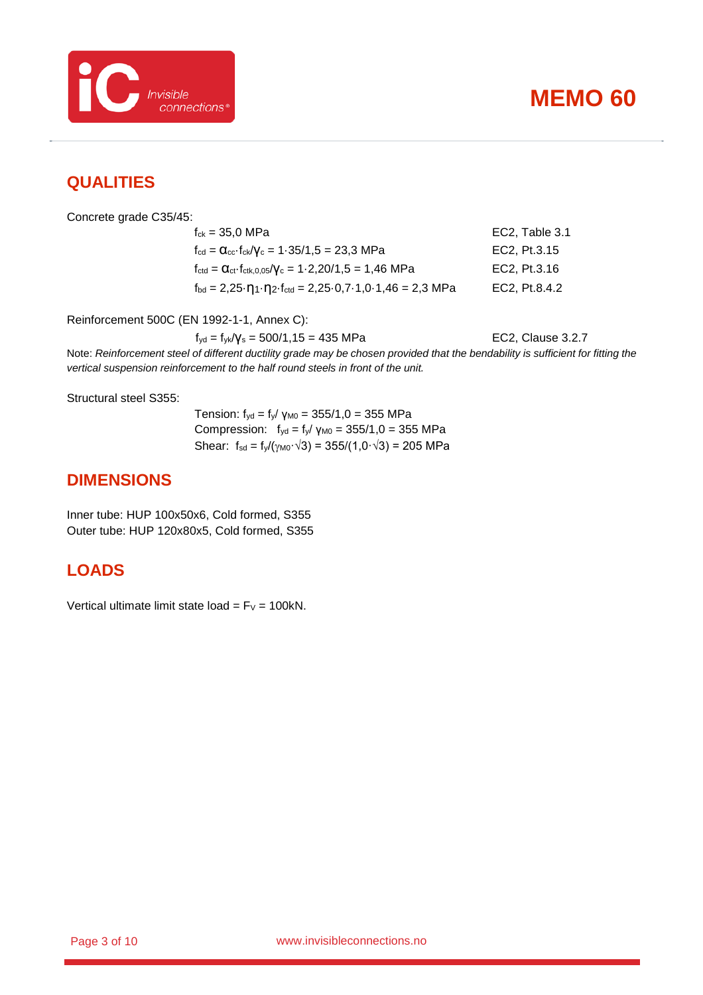

### <span id="page-2-0"></span>**QUALITIES**

Concrete grade C35/45:

 $f_{ck} = 35.0 \text{ MPa}$  EC2, Table 3.1  $f_{\text{cd}} = \alpha_{\text{cc}} \cdot f_{\text{ck}} / \gamma_{\text{c}} = 1.35 / 1.5 = 23.3 \text{ MPa}$  EC2, Pt.3.15  $f_{\text{ctd}} = \alpha_{\text{ct}} \cdot f_{\text{ctk},0,05}/\gamma_c = 1.2,20/1,5 = 1,46 \text{ MPa}$  EC2, Pt.3.16  $f_{\text{bd}} = 2,25 \cdot \eta_1 \cdot \eta_2 \cdot f_{\text{ctd}} = 2,25 \cdot 0,7 \cdot 1,0 \cdot 1,46 = 2,3 \text{ MPa}$  EC2, Pt.8.4.2

Reinforcement 500C (EN 1992-1-1, Annex C):

 $f_{yd} = f_{yk}/V_s = 500/1,15 = 435 \text{ MPa}$  EC2, Clause 3.2.7

Note: *Reinforcement steel of different ductility grade may be chosen provided that the bendability is sufficient for fitting the vertical suspension reinforcement to the half round steels in front of the unit.*

Structural steel S355:

Tension:  $f_{yd} = f_y / \gamma_{M0} = 355/1, 0 = 355 \text{ MPa}$ Compression:  $f_{yd} = f_y / γ_{M0} = 355/1,0 = 355$  MPa Shear:  $f_{sd} = f_{\nu}/(\gamma_{M0} \cdot \sqrt{3}) = 355/(1,0 \cdot \sqrt{3}) = 205 \text{ MPa}$ 

### <span id="page-2-1"></span>**DIMENSIONS**

Inner tube: HUP 100x50x6, Cold formed, S355 Outer tube: HUP 120x80x5, Cold formed, S355

### <span id="page-2-2"></span>**LOADS**

Vertical ultimate limit state load =  $F_v$  = 100kN.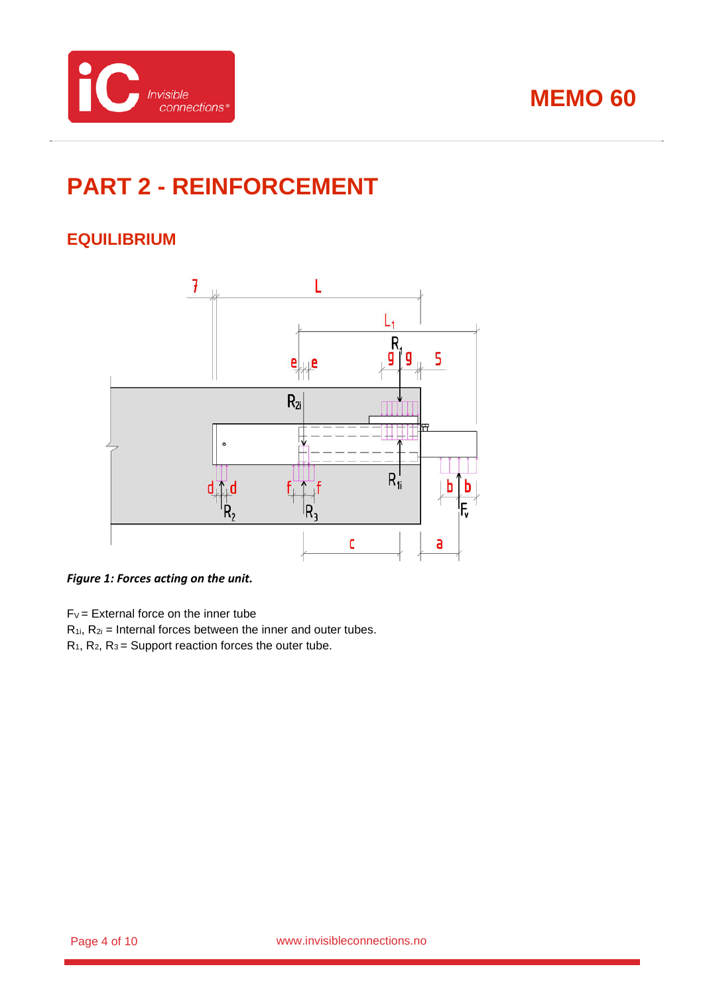



# <span id="page-3-0"></span>**PART 2 - REINFORCEMENT**

## <span id="page-3-1"></span>**EQUILIBRIUM**



### <span id="page-3-2"></span>*Figure 1: Forces acting on the unit.*

 $F_V =$  External force on the inner tube

 $R_{1i}$ ,  $R_{2i}$  = Internal forces between the inner and outer tubes.

 $R_1$ ,  $R_2$ ,  $R_3$  = Support reaction forces the outer tube.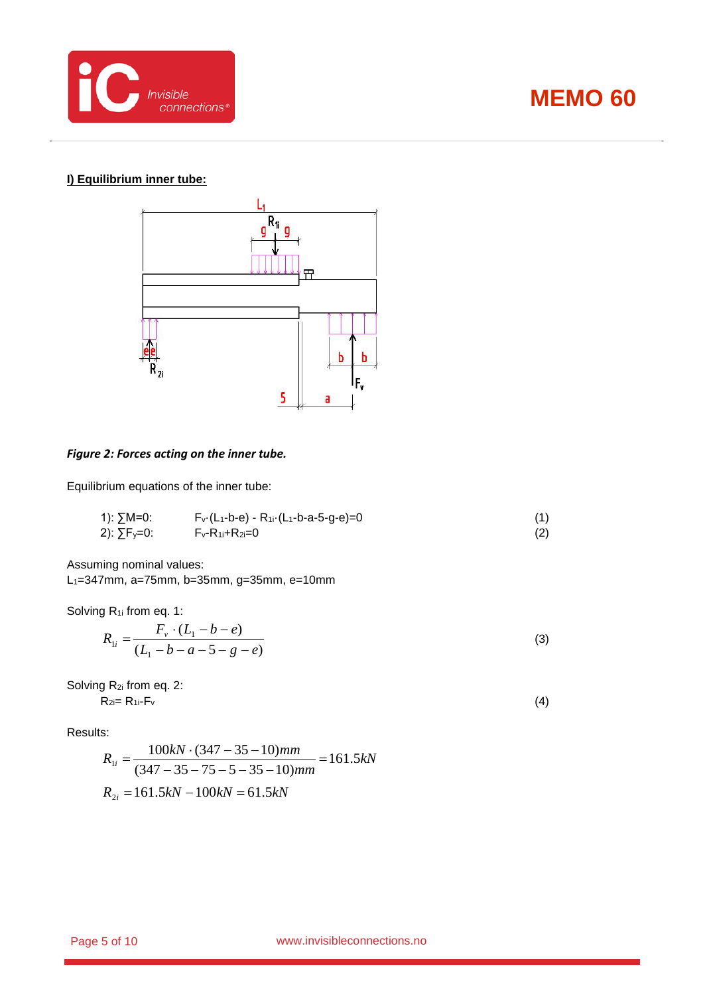

### **I) Equilibrium inner tube:**



#### *Figure 2: Forces acting on the inner tube.*

Equilibrium equations of the inner tube:

1): 
$$
\sum M=0
$$
:  
\n $\sum F_y=0$ :  
\n $F_y-R_{1i}+R_{2i}=0$  (1)  
\n $F_y-R_{1i}+R_{2i}=0$  (2)

Assuming nominal values: L1=347mm, a=75mm, b=35mm, g=35mm, e=10mm

Solving R<sub>1i</sub> from eq. 1:

$$
R_{1i} = \frac{F_v \cdot (L_1 - b - e)}{(L_1 - b - a - 5 - g - e)}
$$
\n(3)

Solving R<sub>2i</sub> from eq. 2:  $R_{2i}= R_{1i}-F_v$  (4)

Results:

$$
R_{1i} = \frac{100kN \cdot (347 - 35 - 10)mm}{(347 - 35 - 75 - 5 - 35 - 10)mm} = 161.5kN
$$
  

$$
R_{2i} = 161.5kN - 100kN = 61.5kN
$$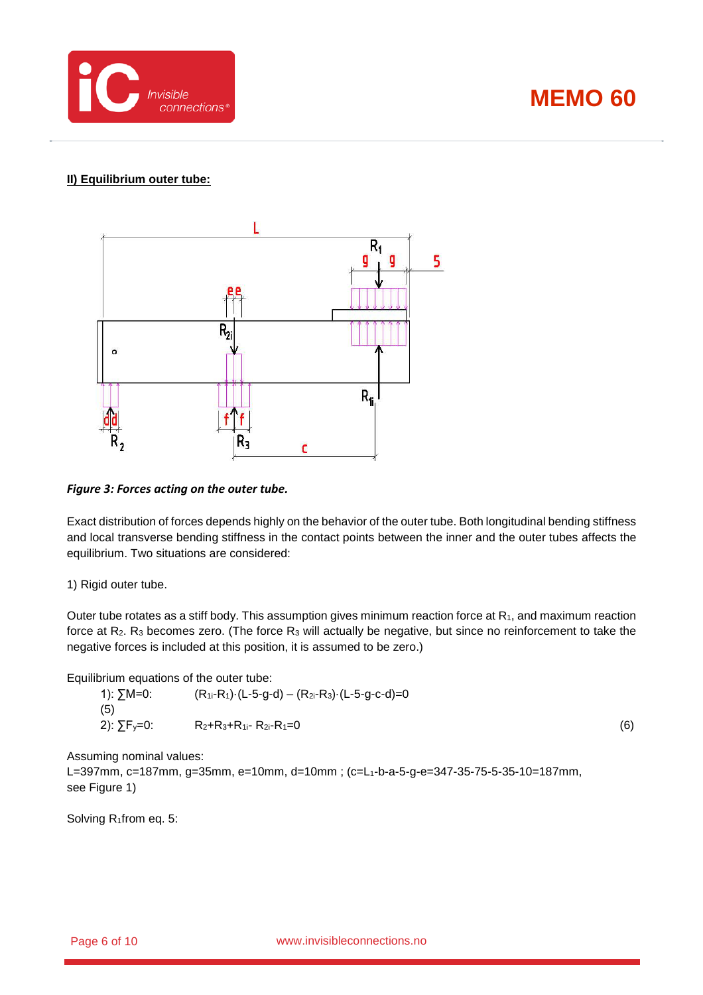



### **II) Equilibrium outer tube:**



#### *Figure 3: Forces acting on the outer tube.*

Exact distribution of forces depends highly on the behavior of the outer tube. Both longitudinal bending stiffness and local transverse bending stiffness in the contact points between the inner and the outer tubes affects the equilibrium. Two situations are considered:

1) Rigid outer tube.

Outer tube rotates as a stiff body. This assumption gives minimum reaction force at R1, and maximum reaction force at  $R_2$ .  $R_3$  becomes zero. (The force  $R_3$  will actually be negative, but since no reinforcement to take the negative forces is included at this position, it is assumed to be zero.)

Equilibrium equations of the outer tube:

1):  $\Sigma M=0$ : (R<sub>1i</sub>-R<sub>1</sub>)·(L-5-g-d) – (R<sub>2i</sub>-R<sub>3</sub>)·(L-5-g-c-d)=0 (5) 2):  $\sum F_y = 0$ : R<sub>2</sub>+R<sub>3</sub>+R<sub>1i</sub>- R<sub>2i</sub>-R<sub>1</sub>=0 (6)

Assuming nominal values:

L=397mm, c=187mm, g=35mm, e=10mm, d=10mm ; (c=L1-b-a-5-g-e=347-35-75-5-35-10=187mm, see [Figure 1\)](#page-3-2)

Solving R<sub>1</sub>from eq. 5: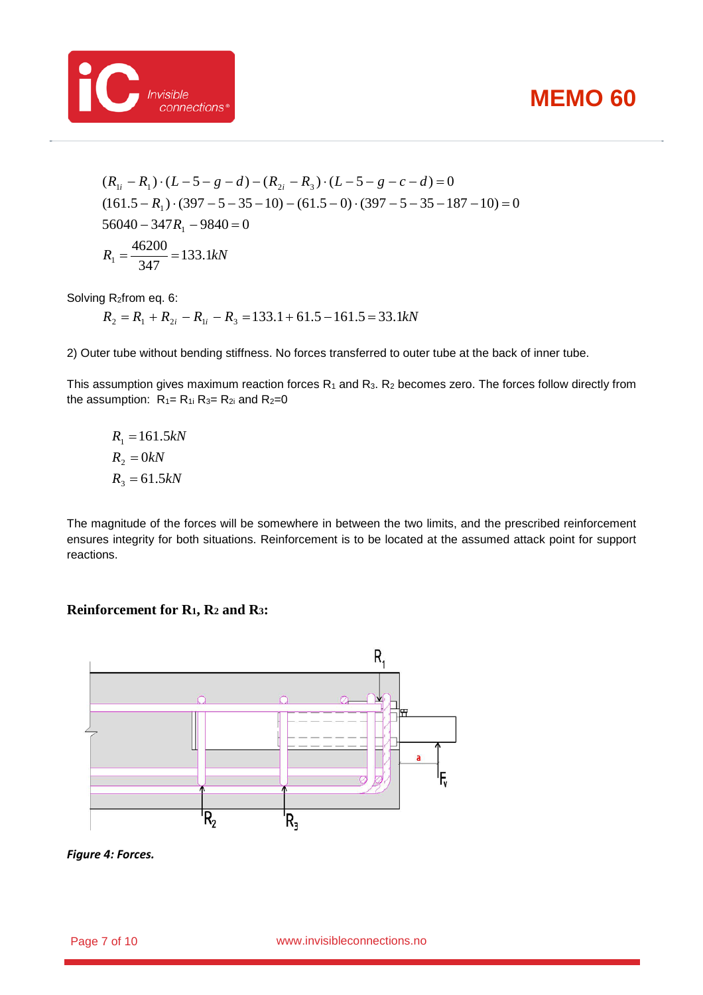

$$
(R_{1i} - R_1) \cdot (L - 5 - g - d) - (R_{2i} - R_3) \cdot (L - 5 - g - c - d) = 0
$$
  
(161.5 - R<sub>1</sub>) \cdot (397 - 5 - 35 - 10) - (61.5 - 0) \cdot (397 - 5 - 35 - 187 - 10) = 0  
56040 - 347R<sub>1</sub> - 9840 = 0  
R<sub>1</sub> =  $\frac{46200}{347}$  = 133.1kN

Solving R2from eq. 6:

 $R_2 = R_1 + R_{2i} - R_{1i} - R_3 = 133.1 + 61.5 - 161.5 = 33.1$ *kN* 

2) Outer tube without bending stiffness. No forces transferred to outer tube at the back of inner tube.

This assumption gives maximum reaction forces  $R_1$  and  $R_3$ .  $R_2$  becomes zero. The forces follow directly from the assumption:  $R_1 = R_1$  i  $R_3 = R_2$  and  $R_2 = 0$ 

$$
R_1 = 161.5kN
$$
  

$$
R_2 = 0kN
$$
  

$$
R_3 = 61.5kN
$$

The magnitude of the forces will be somewhere in between the two limits, and the prescribed reinforcement ensures integrity for both situations. Reinforcement is to be located at the assumed attack point for support reactions.

#### **Reinforcement for R1, R2 and R3:**



*Figure 4: Forces.*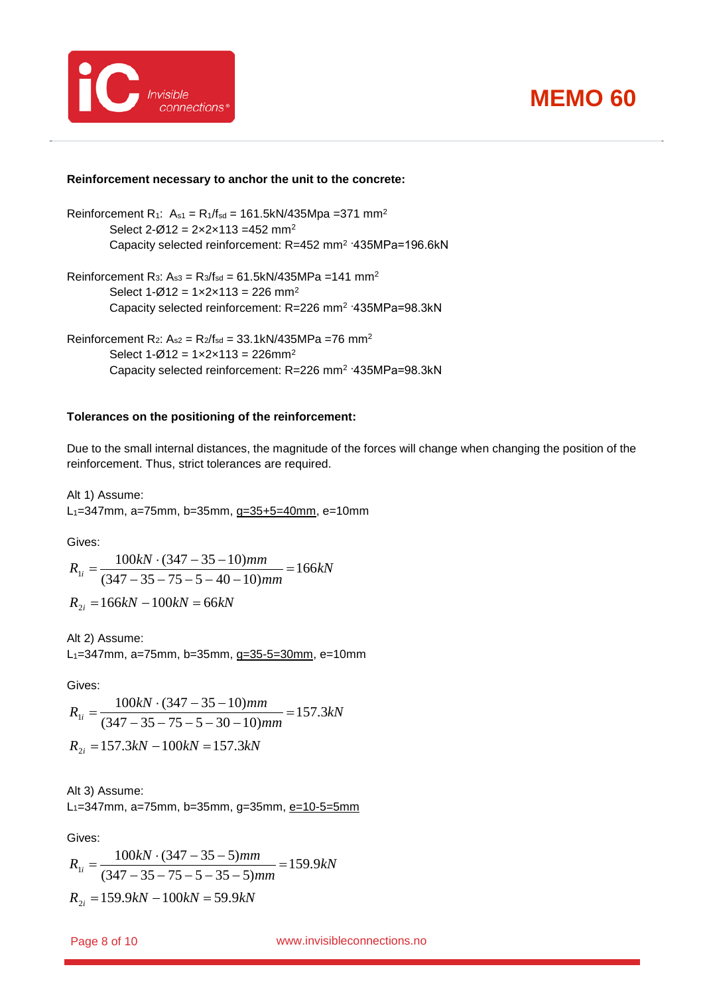



#### **Reinforcement necessary to anchor the unit to the concrete:**

Reinforcement R<sub>1</sub>:  $A_{s1} = R_1/f_{sd} = 161.5kN/435Mpa = 371 mm<sup>2</sup>$ Select  $2-\varnothing$ 12 =  $2 \times 2 \times 113$  = 452 mm<sup>2</sup> Capacity selected reinforcement: R=452 mm2 ·435MPa=196.6kN

Reinforcement R<sub>3</sub>:  $A_{s3} = R_3/f_{sd} = 61.5kN/435MPa = 141 mm<sup>2</sup>$ Select  $1-\varnothing 12 = 1 \times 2 \times 113 = 226$  mm<sup>2</sup> Capacity selected reinforcement: R=226 mm2 ·435MPa=98.3kN

Reinforcement R<sub>2</sub>:  $A_{s2} = R_2/f_{sd} = 33.1kN/435MPa = 76$  mm<sup>2</sup> Select  $1 - \emptyset 12 = 1 \times 2 \times 113 = 226$ mm<sup>2</sup> Capacity selected reinforcement: R=226 mm2 ·435MPa=98.3kN

#### **Tolerances on the positioning of the reinforcement:**

Due to the small internal distances, the magnitude of the forces will change when changing the position of the reinforcement. Thus, strict tolerances are required.

Alt 1) Assume: L1=347mm, a=75mm, b=35mm, g=35+5=40mm, e=10mm

Gives:

$$
R_{1i} = \frac{100kN \cdot (347 - 35 - 10)mm}{(347 - 35 - 75 - 5 - 40 - 10)mm} = 166kN
$$
  

$$
R_{2i} = 166kN - 100kN = 66kN
$$

Alt 2) Assume:

L1=347mm, a=75mm, b=35mm, g=35-5=30mm, e=10mm

Gives:

$$
R_{1i} = \frac{100kN \cdot (347 - 35 - 10)mm}{(347 - 35 - 75 - 5 - 30 - 10)mm} = 157.3kN
$$
  

$$
R_{2i} = 157.3kN - 100kN = 157.3kN
$$

Alt 3) Assume: L<sub>1</sub>=347mm, a=75mm, b=35mm, g=35mm, e=10-5=5mm

Gives:

$$
R_{1i} = \frac{100kN \cdot (347 - 35 - 5)mm}{(347 - 35 - 75 - 5 - 35 - 5)mm} = 159.9kN
$$
  

$$
R_{2i} = 159.9kN - 100kN = 59.9kN
$$

www.invisibleconnections.no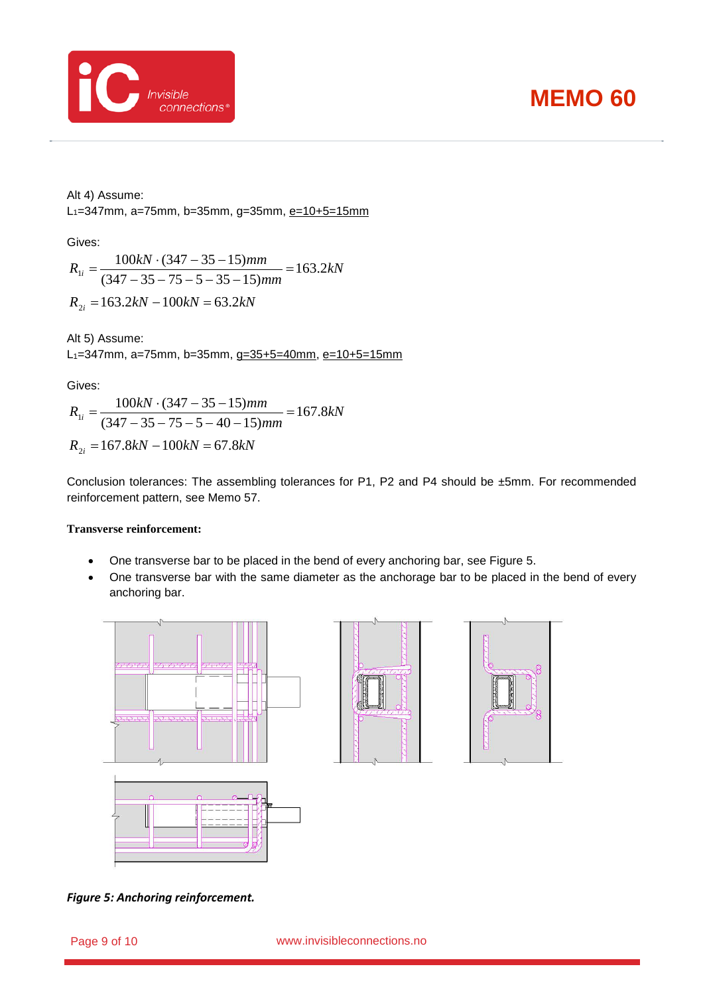



Alt 4) Assume:

L<sub>1</sub>=347mm, a=75mm, b=35mm, g=35mm, e=10+5=15mm

Gives:

*kN*  $R_{1i} = \frac{100kN \cdot (347 - 35 - 15)mm}{(347 - 35 - 75 - 5 - 35 - 15)mm} = 163.2$  $\sigma_{1i} = \frac{100kN \cdot (347 - 35 - 15)mm}{(347 - 35 - 75 - 5 - 35 - 15)mm} =$  $R_{2i} = 163.2kN - 100kN = 63.2kN$ 

Alt 5) Assume: L<sub>1</sub>=347mm, a=75mm, b=35mm, g=35+5=40mm, e=10+5=15mm

Gives:

$$
R_{1i} = \frac{100kN \cdot (347 - 35 - 15)mm}{(347 - 35 - 75 - 5 - 40 - 15)mm} = 167.8kN
$$
  

$$
R_{2i} = 167.8kN - 100kN = 67.8kN
$$

Conclusion tolerances: The assembling tolerances for P1, P2 and P4 should be ±5mm. For recommended reinforcement pattern, see Memo 57.

#### **Transverse reinforcement:**

- One transverse bar to be placed in the bend of every anchoring bar, see [Figure 5.](#page-8-0)
- One transverse bar with the same diameter as the anchorage bar to be placed in the bend of every anchoring bar.



<span id="page-8-0"></span>*Figure 5: Anchoring reinforcement.*